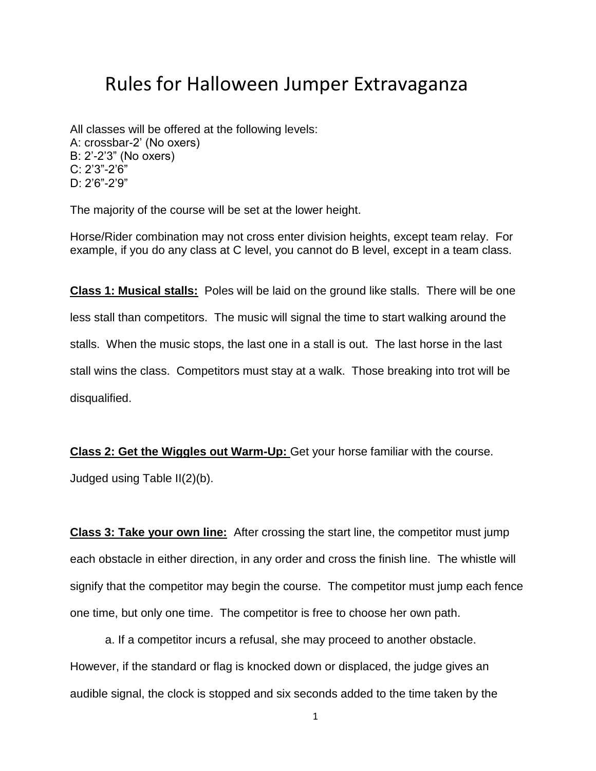## Rules for Halloween Jumper Extravaganza

All classes will be offered at the following levels: A: crossbar-2' (No oxers) B: 2'-2'3" (No oxers) C: 2'3"-2'6" D: 2'6"-2'9"

The majority of the course will be set at the lower height.

Horse/Rider combination may not cross enter division heights, except team relay. For example, if you do any class at C level, you cannot do B level, except in a team class.

**Class 1: Musical stalls:** Poles will be laid on the ground like stalls. There will be one less stall than competitors. The music will signal the time to start walking around the stalls. When the music stops, the last one in a stall is out. The last horse in the last stall wins the class. Competitors must stay at a walk. Those breaking into trot will be disqualified.

**Class 2: Get the Wiggles out Warm-Up:** Get your horse familiar with the course. Judged using Table II(2)(b).

**Class 3: Take your own line:** After crossing the start line, the competitor must jump each obstacle in either direction, in any order and cross the finish line. The whistle will signify that the competitor may begin the course. The competitor must jump each fence one time, but only one time. The competitor is free to choose her own path.

a. If a competitor incurs a refusal, she may proceed to another obstacle. However, if the standard or flag is knocked down or displaced, the judge gives an audible signal, the clock is stopped and six seconds added to the time taken by the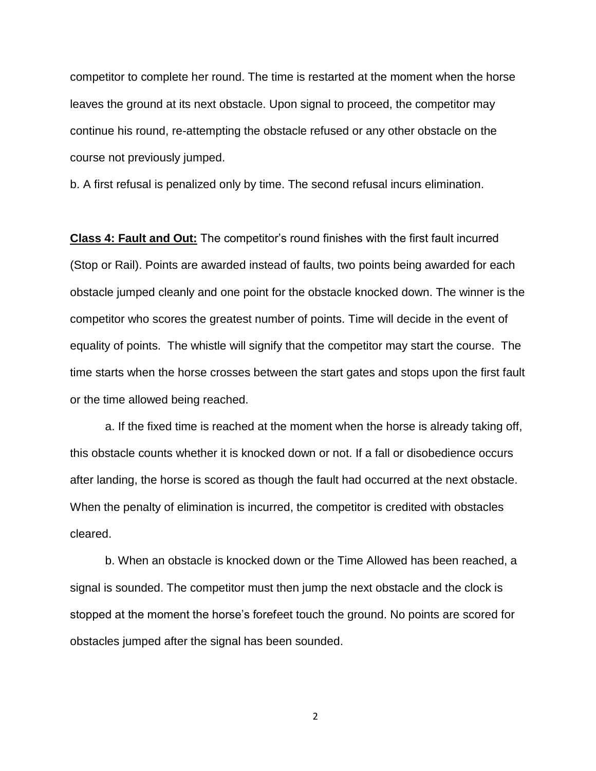competitor to complete her round. The time is restarted at the moment when the horse leaves the ground at its next obstacle. Upon signal to proceed, the competitor may continue his round, re-attempting the obstacle refused or any other obstacle on the course not previously jumped.

b. A first refusal is penalized only by time. The second refusal incurs elimination.

**Class 4: Fault and Out:** The competitor's round finishes with the first fault incurred (Stop or Rail). Points are awarded instead of faults, two points being awarded for each obstacle jumped cleanly and one point for the obstacle knocked down. The winner is the competitor who scores the greatest number of points. Time will decide in the event of equality of points. The whistle will signify that the competitor may start the course. The time starts when the horse crosses between the start gates and stops upon the first fault or the time allowed being reached.

a. If the fixed time is reached at the moment when the horse is already taking off, this obstacle counts whether it is knocked down or not. If a fall or disobedience occurs after landing, the horse is scored as though the fault had occurred at the next obstacle. When the penalty of elimination is incurred, the competitor is credited with obstacles cleared.

b. When an obstacle is knocked down or the Time Allowed has been reached, a signal is sounded. The competitor must then jump the next obstacle and the clock is stopped at the moment the horse's forefeet touch the ground. No points are scored for obstacles jumped after the signal has been sounded.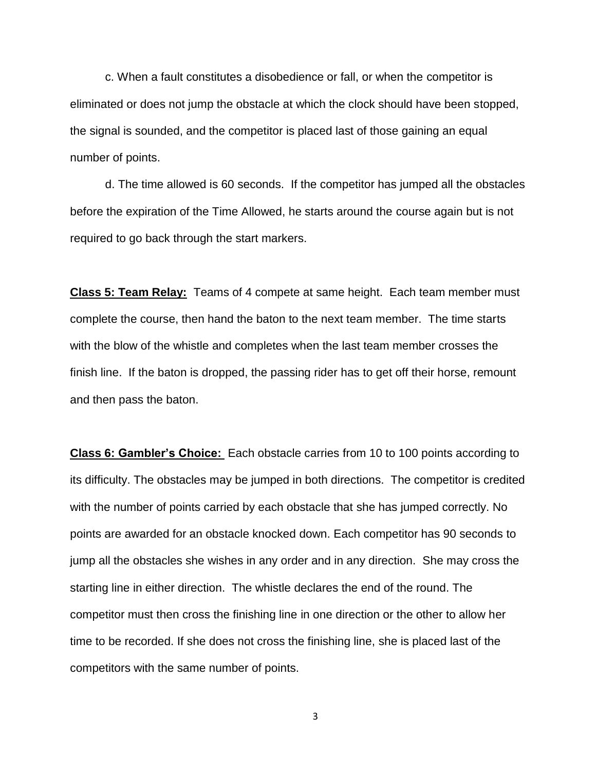c. When a fault constitutes a disobedience or fall, or when the competitor is eliminated or does not jump the obstacle at which the clock should have been stopped, the signal is sounded, and the competitor is placed last of those gaining an equal number of points.

d. The time allowed is 60 seconds. If the competitor has jumped all the obstacles before the expiration of the Time Allowed, he starts around the course again but is not required to go back through the start markers.

**Class 5: Team Relay:** Teams of 4 compete at same height. Each team member must complete the course, then hand the baton to the next team member. The time starts with the blow of the whistle and completes when the last team member crosses the finish line. If the baton is dropped, the passing rider has to get off their horse, remount and then pass the baton.

**Class 6: Gambler's Choice:** Each obstacle carries from 10 to 100 points according to its difficulty. The obstacles may be jumped in both directions. The competitor is credited with the number of points carried by each obstacle that she has jumped correctly. No points are awarded for an obstacle knocked down. Each competitor has 90 seconds to jump all the obstacles she wishes in any order and in any direction. She may cross the starting line in either direction. The whistle declares the end of the round. The competitor must then cross the finishing line in one direction or the other to allow her time to be recorded. If she does not cross the finishing line, she is placed last of the competitors with the same number of points.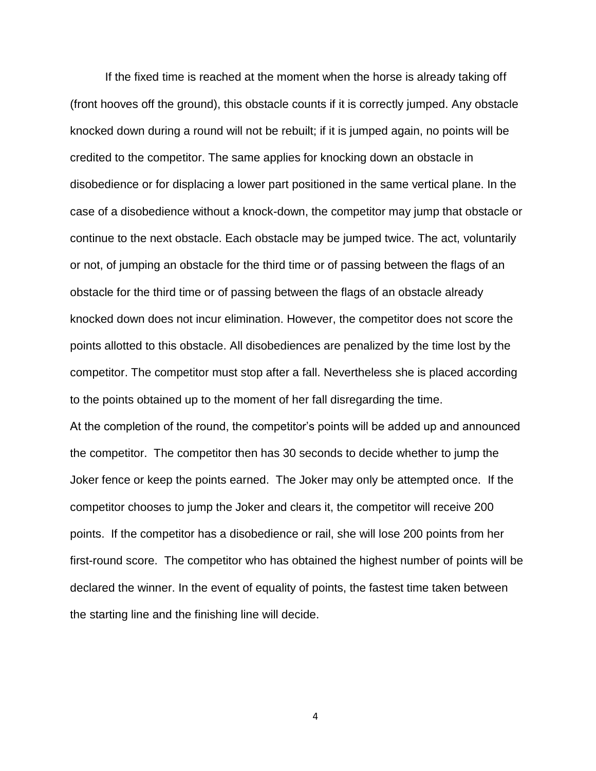If the fixed time is reached at the moment when the horse is already taking off (front hooves off the ground), this obstacle counts if it is correctly jumped. Any obstacle knocked down during a round will not be rebuilt; if it is jumped again, no points will be credited to the competitor. The same applies for knocking down an obstacle in disobedience or for displacing a lower part positioned in the same vertical plane. In the case of a disobedience without a knock-down, the competitor may jump that obstacle or continue to the next obstacle. Each obstacle may be jumped twice. The act, voluntarily or not, of jumping an obstacle for the third time or of passing between the flags of an obstacle for the third time or of passing between the flags of an obstacle already knocked down does not incur elimination. However, the competitor does not score the points allotted to this obstacle. All disobediences are penalized by the time lost by the competitor. The competitor must stop after a fall. Nevertheless she is placed according to the points obtained up to the moment of her fall disregarding the time. At the completion of the round, the competitor's points will be added up and announced the competitor. The competitor then has 30 seconds to decide whether to jump the Joker fence or keep the points earned. The Joker may only be attempted once. If the

competitor chooses to jump the Joker and clears it, the competitor will receive 200 points. If the competitor has a disobedience or rail, she will lose 200 points from her first-round score. The competitor who has obtained the highest number of points will be declared the winner. In the event of equality of points, the fastest time taken between the starting line and the finishing line will decide.